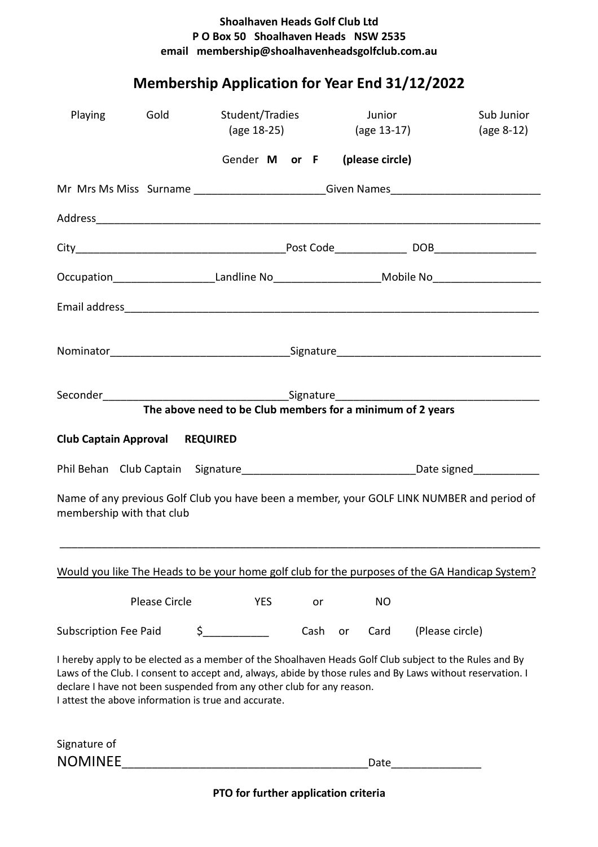## **Shoalhaven Heads Golf Club Ltd P O Box 50 Shoalhaven Heads NSW 2535 email membership@shoalhavenheadsgolfclub.com.au**

## **Membership Application for Year End 31/12/2022**

| Playing                                                                                                                                                                                                                                                                                                                                               | Gold                                                                             | Student/Tradies                                            | (age 18-25) |      |           | Junior<br>(age 13-17) |                 | Sub Junior<br>$(age 8-12)$ |  |
|-------------------------------------------------------------------------------------------------------------------------------------------------------------------------------------------------------------------------------------------------------------------------------------------------------------------------------------------------------|----------------------------------------------------------------------------------|------------------------------------------------------------|-------------|------|-----------|-----------------------|-----------------|----------------------------|--|
|                                                                                                                                                                                                                                                                                                                                                       |                                                                                  | Gender M or F (please circle)                              |             |      |           |                       |                 |                            |  |
|                                                                                                                                                                                                                                                                                                                                                       | Mr Mrs Ms Miss Surname _________________________Given Names_____________________ |                                                            |             |      |           |                       |                 |                            |  |
|                                                                                                                                                                                                                                                                                                                                                       |                                                                                  |                                                            |             |      |           |                       |                 |                            |  |
|                                                                                                                                                                                                                                                                                                                                                       |                                                                                  |                                                            |             |      |           |                       |                 |                            |  |
| Occupation_______________________Landline No_______________________Mobile No_______________________                                                                                                                                                                                                                                                   |                                                                                  |                                                            |             |      |           |                       |                 |                            |  |
|                                                                                                                                                                                                                                                                                                                                                       |                                                                                  |                                                            |             |      |           |                       |                 |                            |  |
|                                                                                                                                                                                                                                                                                                                                                       |                                                                                  |                                                            |             |      |           |                       |                 |                            |  |
|                                                                                                                                                                                                                                                                                                                                                       |                                                                                  | The above need to be Club members for a minimum of 2 years |             |      |           |                       |                 |                            |  |
| <b>Club Captain Approval</b>                                                                                                                                                                                                                                                                                                                          |                                                                                  | <b>REQUIRED</b>                                            |             |      |           |                       |                 |                            |  |
|                                                                                                                                                                                                                                                                                                                                                       |                                                                                  |                                                            |             |      |           |                       |                 |                            |  |
| Name of any previous Golf Club you have been a member, your GOLF LINK NUMBER and period of<br>membership with that club                                                                                                                                                                                                                               |                                                                                  |                                                            |             |      |           |                       |                 |                            |  |
| Would you like The Heads to be your home golf club for the purposes of the GA Handicap System?                                                                                                                                                                                                                                                        |                                                                                  |                                                            |             |      |           |                       |                 |                            |  |
|                                                                                                                                                                                                                                                                                                                                                       | <b>Please Circle</b>                                                             | <b>YES</b>                                                 |             | or   |           | <b>NO</b>             |                 |                            |  |
| <b>Subscription Fee Paid</b>                                                                                                                                                                                                                                                                                                                          |                                                                                  | $\sharp$                                                   |             | Cash | <b>or</b> | Card                  | (Please circle) |                            |  |
| I hereby apply to be elected as a member of the Shoalhaven Heads Golf Club subject to the Rules and By<br>Laws of the Club. I consent to accept and, always, abide by those rules and By Laws without reservation. I<br>declare I have not been suspended from any other club for any reason.<br>I attest the above information is true and accurate. |                                                                                  |                                                            |             |      |           |                       |                 |                            |  |
| Signature of                                                                                                                                                                                                                                                                                                                                          |                                                                                  |                                                            |             |      |           |                       |                 |                            |  |
| <b>NOMINEE</b>                                                                                                                                                                                                                                                                                                                                        |                                                                                  |                                                            |             |      |           | Date                  |                 |                            |  |

**PTO for further application criteria**